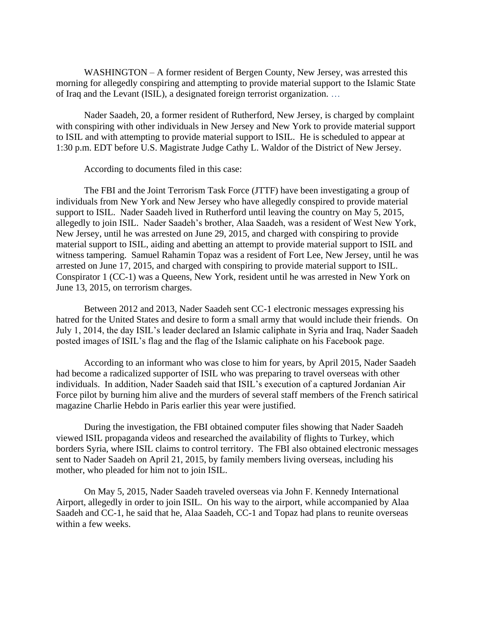WASHINGTON – A former resident of Bergen County, New Jersey, was arrested this morning for allegedly conspiring and attempting to provide material support to the Islamic State of Iraq and the Levant (ISIL), a designated foreign terrorist organization. …

Nader Saadeh, 20, a former resident of Rutherford, New Jersey, is charged by complaint with conspiring with other individuals in New Jersey and New York to provide material support to ISIL and with attempting to provide material support to ISIL. He is scheduled to appear at 1:30 p.m. EDT before U.S. Magistrate Judge Cathy L. Waldor of the District of New Jersey.

According to documents filed in this case:

 The FBI and the Joint Terrorism Task Force (JTTF) have been investigating a group of individuals from New York and New Jersey who have allegedly conspired to provide material support to ISIL. Nader Saadeh lived in Rutherford until leaving the country on May 5, 2015, allegedly to join ISIL. Nader Saadeh's brother, Alaa Saadeh, was a resident of West New York, New Jersey, until he was arrested on June 29, 2015, and charged with conspiring to provide material support to ISIL, aiding and abetting an attempt to provide material support to ISIL and witness tampering. Samuel Rahamin Topaz was a resident of Fort Lee, New Jersey, until he was arrested on June 17, 2015, and charged with conspiring to provide material support to ISIL. Conspirator 1 (CC-1) was a Queens, New York, resident until he was arrested in New York on June 13, 2015, on terrorism charges.

Between 2012 and 2013, Nader Saadeh sent CC-1 electronic messages expressing his hatred for the United States and desire to form a small army that would include their friends. On July 1, 2014, the day ISIL's leader declared an Islamic caliphate in Syria and Iraq, Nader Saadeh posted images of ISIL's flag and the flag of the Islamic caliphate on his Facebook page.

According to an informant who was close to him for years, by April 2015, Nader Saadeh had become a radicalized supporter of ISIL who was preparing to travel overseas with other individuals. In addition, Nader Saadeh said that ISIL's execution of a captured Jordanian Air Force pilot by burning him alive and the murders of several staff members of the French satirical magazine Charlie Hebdo in Paris earlier this year were justified.

During the investigation, the FBI obtained computer files showing that Nader Saadeh viewed ISIL propaganda videos and researched the availability of flights to Turkey, which borders Syria, where ISIL claims to control territory. The FBI also obtained electronic messages sent to Nader Saadeh on April 21, 2015, by family members living overseas, including his mother, who pleaded for him not to join ISIL.

On May 5, 2015, Nader Saadeh traveled overseas via John F. Kennedy International Airport, allegedly in order to join ISIL. On his way to the airport, while accompanied by Alaa Saadeh and CC-1, he said that he, Alaa Saadeh, CC-1 and Topaz had plans to reunite overseas within a few weeks.